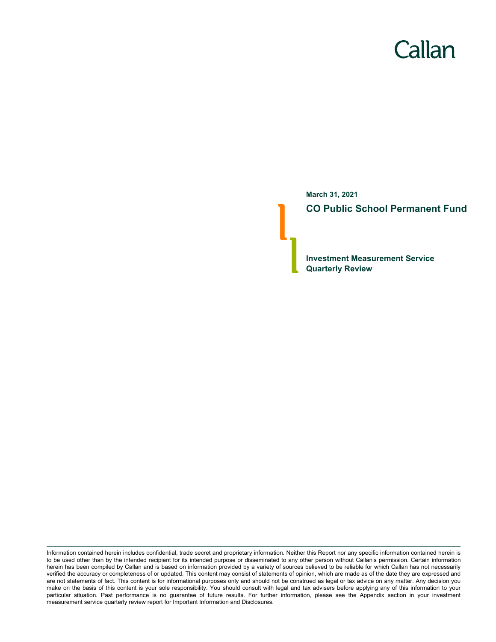# Callan

**March 31, 2021 CO Public School Permanent Fund**

**Investment Measurement Service Quarterly Review**

Information contained herein includes confidential, trade secret and proprietary information. Neither this Report nor any specific information contained herein is to be used other than by the intended recipient for its intended purpose or disseminated to any other person without Callan's permission. Certain information herein has been compiled by Callan and is based on information provided by a variety of sources believed to be reliable for which Callan has not necessarily verified the accuracy or completeness of or updated. This content may consist of statements of opinion, which are made as of the date they are expressed and are not statements of fact. This content is for informational purposes only and should not be construed as legal or tax advice on any matter. Any decision you make on the basis of this content is your sole responsibility. You should consult with legal and tax advisers before applying any of this information to your particular situation. Past performance is no guarantee of future results. For further information, please see the Appendix section in your investment measurement service quarterly review report for Important Information and Disclosures.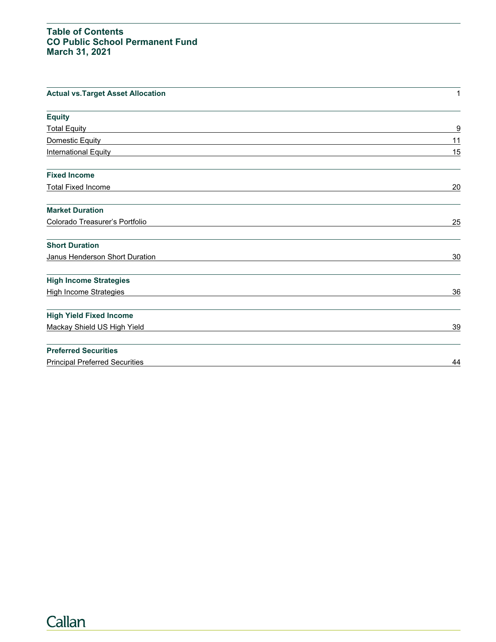## <span id="page-1-0"></span>**Table of Contents CO Public School Permanent Fund March 31, 2021**

| <b>Actual vs. Target Asset Allocation</b> | 1  |
|-------------------------------------------|----|
| <b>Equity</b>                             |    |
| <b>Total Equity</b>                       | 9  |
| Domestic Equity                           | 11 |
| <b>International Equity</b>               | 15 |
| <b>Fixed Income</b>                       |    |
| <b>Total Fixed Income</b>                 | 20 |
| <b>Market Duration</b>                    |    |
| Colorado Treasurer's Portfolio            | 25 |
| <b>Short Duration</b>                     |    |
| Janus Henderson Short Duration            | 30 |
| <b>High Income Strategies</b>             |    |
| <b>High Income Strategies</b>             | 36 |
| <b>High Yield Fixed Income</b>            |    |
| Mackay Shield US High Yield               | 39 |
| <b>Preferred Securities</b>               |    |
| <b>Principal Preferred Securities</b>     | 44 |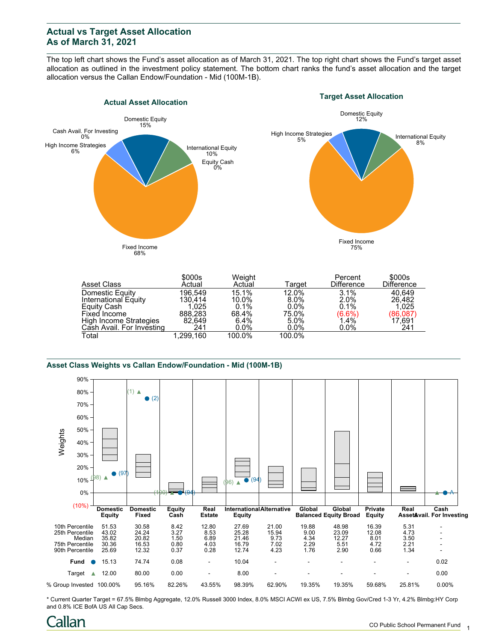## **Actual vs Target Asset Allocation As of March 31, 2021**

The top left chart shows the Fund's asset allocation as of March 31, 2021. The top right chart shows the Fund's target asset allocation as outlined in the investment policy statement. The bottom chart ranks the fund's asset allocation and the target allocation versus the Callan Endow/Foundation - Mid (100M-1B).



|                           | \$000s    | Weight   |         | Percent           | \$000s     |
|---------------------------|-----------|----------|---------|-------------------|------------|
| Asset Class               | Actual    | Actual   | Target  | <b>Difference</b> | Difference |
| Domestic Equity           | 196.549   | 15.1%    | 12.0%   | 3.1%              | 40.649     |
| International Equity      | 130.414   | $10.0\%$ | $8.0\%$ | $2.0\%$           | 26.482     |
| Equity Cash               | 1.025     | 0.1%     | $0.0\%$ | 0.1%              | 1.025      |
| Fixed Income              | 888.283   | 68.4%    | 75.0%   | $(6.6\%)$         | (86, 087)  |
| High Income Strategies    | 82.649    | 6.4%     | 5.0%    | 1.4%              | 17.691     |
| Cash Avail. For Investing | 241       | $0.0\%$  | $0.0\%$ | $0.0\%$           | 241        |
| Total                     | 1,299,160 | 100.0%   | 100.0%  |                   |            |

#### **Asset Class Weights vs Callan Endow/Foundation - Mid (100M-1B)**



\* Current Quarter Target = 67.5% Blmbg Aggregate, 12.0% Russell 3000 Index, 8.0% MSCI ACWI ex US, 7.5% Blmbg Gov/Cred 1-3 Yr, 4.2% Blmbg:HY Corp and 0.8% ICE BofA US All Cap Secs.

## :allan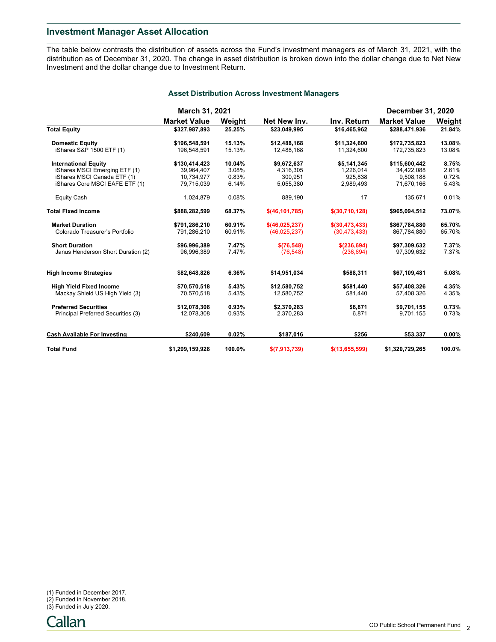## **Investment Manager Asset Allocation**

The table below contrasts the distribution of assets across the Fund's investment managers as of March 31, 2021, with the distribution as of December 31, 2020. The change in asset distribution is broken down into the dollar change due to Net New Investment and the dollar change due to Investment Return.

|                                     |                     | <b>March 31, 2021</b> |                  |                  | <b>December 31, 2020</b> |          |  |
|-------------------------------------|---------------------|-----------------------|------------------|------------------|--------------------------|----------|--|
|                                     | <b>Market Value</b> | Weight                | Net New Inv.     | Inv. Return      | <b>Market Value</b>      | Weight   |  |
| <b>Total Equity</b>                 | \$327,987,893       | 25.25%                | \$23,049,995     | \$16,465,962     | \$288,471,936            | 21.84%   |  |
| <b>Domestic Equity</b>              | \$196,548,591       | 15.13%                | \$12,488,168     | \$11.324.600     | \$172.735.823            | 13.08%   |  |
| iShares S&P 1500 ETF (1)            | 196,548,591         | 15.13%                | 12.488.168       | 11,324,600       | 172.735.823              | 13.08%   |  |
| <b>International Equity</b>         | \$130,414,423       | 10.04%                | \$9,672,637      | \$5,141,345      | \$115,600,442            | 8.75%    |  |
| iShares MSCI Emerging ETF (1)       | 39,964,407          | 3.08%                 | 4,316,305        | 1,226,014        | 34,422,088               | 2.61%    |  |
| iShares MSCI Canada ETF (1)         | 10,734,977          | 0.83%                 | 300,951          | 925,838          | 9,508,188                | 0.72%    |  |
| iShares Core MSCI EAFE ETF (1)      | 79.715.039          | 6.14%                 | 5.055.380        | 2,989,493        | 71.670.166               | 5.43%    |  |
| Equity Cash                         | 1,024,879           | 0.08%                 | 889,190          | 17               | 135,671                  | 0.01%    |  |
| <b>Total Fixed Income</b>           | \$888,282,599       | 68.37%                | $$$ (46,101,785) | $$$ (30,710,128) | \$965,094,512            | 73.07%   |  |
| <b>Market Duration</b>              | \$791,286,210       | 60.91%                | \$(46, 025, 237) | \$(30, 473, 433) | \$867,784,880            | 65.70%   |  |
| Colorado Treasurer's Portfolio      | 791,286,210         | 60.91%                | (46,025,237)     | (30, 473, 433)   | 867,784,880              | 65.70%   |  |
| <b>Short Duration</b>               | \$96,996,389        | 7.47%                 | \$(76, 548)      | \$(236, 694)     | \$97,309,632             | 7.37%    |  |
| Janus Henderson Short Duration (2)  | 96.996.389          | 7.47%                 | (76, 548)        | (236, 694)       | 97,309,632               | 7.37%    |  |
| <b>High Income Strategies</b>       | \$82,648,826        | 6.36%                 | \$14,951,034     | \$588,311        | \$67,109,481             | 5.08%    |  |
| <b>High Yield Fixed Income</b>      | \$70,570,518        | 5.43%                 | \$12,580,752     | \$581,440        | \$57,408,326             | 4.35%    |  |
| Mackay Shield US High Yield (3)     | 70.570.518          | 5.43%                 | 12.580.752       | 581,440          | 57,408,326               | 4.35%    |  |
| <b>Preferred Securities</b>         | \$12.078.308        | 0.93%                 | \$2.370.283      | \$6.871          | \$9.701.155              | 0.73%    |  |
| Principal Preferred Securities (3)  | 12,078,308          | 0.93%                 | 2.370.283        | 6.871            | 9.701.155                | 0.73%    |  |
| <b>Cash Available For Investing</b> | \$240.609           | 0.02%                 | \$187.016        | \$256            | \$53.337                 | $0.00\%$ |  |
| <b>Total Fund</b>                   | \$1,299,159,928     | 100.0%                | \$(7,913,739)    | \$(13,655,599)   | \$1,320,729,265          | 100.0%   |  |

## **Asset Distribution Across Investment Managers**

(1) Funded in December 2017. (2) Funded in November 2018. (3) Funded in July 2020.

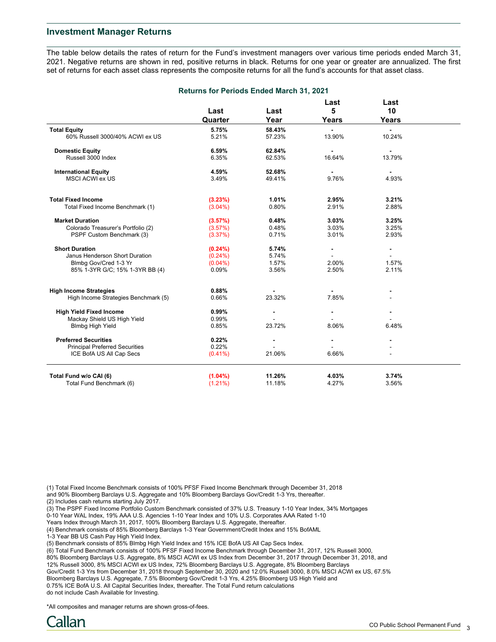## **Investment Manager Returns**

The table below details the rates of return for the Fund's investment managers over various time periods ended March 31, 2021. Negative returns are shown in red, positive returns in black. Returns for one year or greater are annualized. The first set of returns for each asset class represents the composite returns for all the fund's accounts for that asset class.

| <b>Returns for Periods Ended March 31, 2021</b>                                                                     |                                                 |                                  |                                  |                                  |  |  |  |  |  |
|---------------------------------------------------------------------------------------------------------------------|-------------------------------------------------|----------------------------------|----------------------------------|----------------------------------|--|--|--|--|--|
|                                                                                                                     | Last                                            | Last                             | Last<br>5                        | Last<br>10 <sup>1</sup>          |  |  |  |  |  |
|                                                                                                                     | Quarter                                         | Year                             | Years                            | Years                            |  |  |  |  |  |
| <b>Total Equity</b><br>60% Russell 3000/40% ACWI ex US                                                              | 5.75%<br>5.21%                                  | 58.43%<br>57.23%                 | $\overline{a}$<br>13.90%         | $\blacksquare$<br>10.24%         |  |  |  |  |  |
| <b>Domestic Equity</b><br>Russell 3000 Index                                                                        | 6.59%<br>6.35%                                  | 62.84%<br>62.53%                 | 16.64%                           | 13.79%                           |  |  |  |  |  |
| <b>International Equity</b><br><b>MSCI ACWI ex US</b>                                                               | 4.59%<br>3.49%                                  | 52.68%<br>49.41%                 | 9.76%                            | 4.93%                            |  |  |  |  |  |
| <b>Total Fixed Income</b><br>Total Fixed Income Benchmark (1)                                                       | (3.23%)<br>$(3.04\%)$                           | 1.01%<br>0.80%                   | 2.95%<br>2.91%                   | 3.21%<br>2.88%                   |  |  |  |  |  |
| <b>Market Duration</b><br>Colorado Treasurer's Portfolio (2)<br>PSPF Custom Benchmark (3)                           | (3.57%)<br>(3.57%)<br>(3.37%)                   | 0.48%<br>0.48%<br>0.71%          | 3.03%<br>3.03%<br>3.01%          | 3.25%<br>3.25%<br>2.93%          |  |  |  |  |  |
| <b>Short Duration</b><br>Janus Henderson Short Duration<br>Blmbg Gov/Cred 1-3 Yr<br>85% 1-3YR G/C; 15% 1-3YR BB (4) | $(0.24\%)$<br>$(0.24\%)$<br>$(0.04\%)$<br>0.09% | 5.74%<br>5.74%<br>1.57%<br>3.56% | $\blacksquare$<br>2.00%<br>2.50% | $\blacksquare$<br>1.57%<br>2.11% |  |  |  |  |  |
| <b>High Income Strategies</b><br>High Income Strategies Benchmark (5)                                               | 0.88%<br>0.66%                                  | 23.32%                           | 7.85%                            |                                  |  |  |  |  |  |
| <b>High Yield Fixed Income</b><br>Mackay Shield US High Yield<br><b>Blmbg High Yield</b>                            | 0.99%<br>0.99%<br>0.85%                         | 23.72%                           | 8.06%                            | 6.48%                            |  |  |  |  |  |
| <b>Preferred Securities</b><br><b>Principal Preferred Securities</b><br>ICE BofA US All Cap Secs                    | 0.22%<br>0.22%<br>$(0.41\%)$                    | 21.06%                           | 6.66%                            |                                  |  |  |  |  |  |
| Total Fund w/o CAI (6)<br>Total Fund Benchmark (6)                                                                  | $(1.04\%)$<br>$(1.21\%)$                        | 11.26%<br>11.18%                 | 4.03%<br>4.27%                   | 3.74%<br>3.56%                   |  |  |  |  |  |

(1) Total Fixed Income Benchmark consists of 100% PFSF Fixed Income Benchmark through December 31, 2018

and 90% Bloomberg Barclays U.S. Aggregate and 10% Bloomberg Barclays Gov/Credit 1-3 Yrs, thereafter.

(2) Includes cash returns starting July 2017.

(3) The PSPF Fixed Income Portfolio Custom Benchmark consisted of 37% U.S. Treasury 1-10 Year Index, 34% Mortgages

0-10 Year WAL Index, 19% AAA U.S. Agencies 1-10 Year Index and 10% U.S. Corporates AAA Rated 1-10

Years Index through March 31, 2017, 100% Bloomberg Barclays U.S. Aggregate, thereafter.

(4) Benchmark consists of 85% Bloomberg Barclays 1-3 Year Government/Credit Index and 15% BofAML

1-3 Year BB US Cash Pay High Yield Index.

(5) Benchmark consists of 85% Blmbg High Yield Index and 15% ICE BofA US All Cap Secs Index.

(6) Total Fund Benchmark consists of 100% PFSF Fixed Income Benchmark through December 31, 2017, 12% Russell 3000,

80% Bloomberg Barclays U.S. Aggregate, 8% MSCI ACWI ex US Index from December 31, 2017 through December 31, 2018, and

12% Russell 3000, 8% MSCI ACWI ex US Index, 72% Bloomberg Barclays U.S. Aggregate, 8% Bloomberg Barclays

Gov/Credit 1-3 Yrs from December 31, 2018 through September 30, 2020 and 12.0% Russell 3000, 8.0% MSCI ACWI ex US, 67.5%

Bloomberg Barclays U.S. Aggregate, 7.5% Bloomberg Gov/Credit 1-3 Yrs, 4.25% Bloomberg US High Yield and

0.75% ICE BofA U.S. All Capital Securities Index, thereafter. The Total Fund return calculations

do not include Cash Available for Investing.

\*All composites and manager returns are shown gross-of-fees.

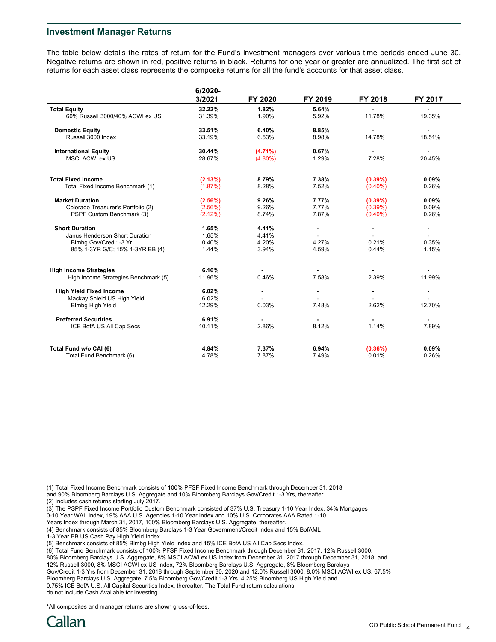## **Investment Manager Returns**

The table below details the rates of return for the Fund's investment managers over various time periods ended June 30. Negative returns are shown in red, positive returns in black. Returns for one year or greater are annualized. The first set of returns for each asset class represents the composite returns for all the fund's accounts for that asset class.

|         |                                                          |                                    |                                    | FY 2017                                                                |
|---------|----------------------------------------------------------|------------------------------------|------------------------------------|------------------------------------------------------------------------|
|         |                                                          |                                    |                                    |                                                                        |
|         |                                                          |                                    |                                    | 19.35%                                                                 |
| 33.51%  | 6.40%                                                    | 8.85%                              |                                    |                                                                        |
|         |                                                          |                                    |                                    | 18.51%                                                                 |
| 30.44%  | $(4.71\%)$                                               | 0.67%                              |                                    |                                                                        |
| 28.67%  | $(4.80\%)$                                               | 1.29%                              | 7.28%                              | 20.45%                                                                 |
|         | 8.79%                                                    | 7.38%                              |                                    | 0.09%                                                                  |
| (1.87%) | 8.28%                                                    | 7.52%                              | $(0.40\%)$                         | 0.26%                                                                  |
| (2.56%) | 9.26%                                                    | 7.77%                              | $(0.39\%)$                         | 0.09%                                                                  |
| (2.56%) | 9.26%                                                    | 7.77%                              | $(0.39\%)$                         | 0.09%                                                                  |
| (2.12%) | 8.74%                                                    | 7.87%                              | $(0.40\%)$                         | 0.26%                                                                  |
| 1.65%   | 4.41%                                                    |                                    |                                    | $\blacksquare$                                                         |
| 1.65%   | 4.41%                                                    |                                    |                                    |                                                                        |
| 0.40%   | 4.20%                                                    | 4.27%                              | 0.21%                              | 0.35%                                                                  |
| 1.44%   | 3.94%                                                    | 4.59%                              | 0.44%                              | 1.15%                                                                  |
|         |                                                          |                                    |                                    |                                                                        |
| 11.96%  | 0.46%                                                    | 7.58%                              | 2.39%                              | 11.99%                                                                 |
| 6.02%   |                                                          |                                    |                                    |                                                                        |
| 6.02%   |                                                          |                                    |                                    |                                                                        |
| 12.29%  | 0.03%                                                    | 7.48%                              | 2.62%                              | 12.70%                                                                 |
| 6.91%   |                                                          |                                    |                                    |                                                                        |
| 10.11%  | 2.86%                                                    | 8.12%                              | 1.14%                              | 7.89%                                                                  |
| 4.84%   | 7.37%                                                    | 6.94%                              | (0.36%)                            | 0.09%                                                                  |
| 4.78%   | 7.87%                                                    |                                    |                                    | 0.26%                                                                  |
|         | 3/2021<br>32.22%<br>31.39%<br>33.19%<br>(2.13%)<br>6.16% | FY 2020<br>1.82%<br>1.90%<br>6.53% | FY 2019<br>5.64%<br>5.92%<br>8.98% | 6/2020-<br>FY 2018<br>11.78%<br>14.78%<br>$(0.39\%)$<br>7.49%<br>0.01% |

(1) Total Fixed Income Benchmark consists of 100% PFSF Fixed Income Benchmark through December 31, 2018

and 90% Bloomberg Barclays U.S. Aggregate and 10% Bloomberg Barclays Gov/Credit 1-3 Yrs, thereafter.

(2) Includes cash returns starting July 2017.

(3) The PSPF Fixed Income Portfolio Custom Benchmark consisted of 37% U.S. Treasury 1-10 Year Index, 34% Mortgages

0-10 Year WAL Index, 19% AAA U.S. Agencies 1-10 Year Index and 10% U.S. Corporates AAA Rated 1-10

Years Index through March 31, 2017, 100% Bloomberg Barclays U.S. Aggregate, thereafter.

(4) Benchmark consists of 85% Bloomberg Barclays 1-3 Year Government/Credit Index and 15% BofAML

1-3 Year BB US Cash Pay High Yield Index.

(5) Benchmark consists of 85% Blmbg High Yield Index and 15% ICE BofA US All Cap Secs Index.

(6) Total Fund Benchmark consists of 100% PFSF Fixed Income Benchmark through December 31, 2017, 12% Russell 3000,

80% Bloomberg Barclays U.S. Aggregate, 8% MSCI ACWI ex US Index from December 31, 2017 through December 31, 2018, and

12% Russell 3000, 8% MSCI ACWI ex US Index, 72% Bloomberg Barclays U.S. Aggregate, 8% Bloomberg Barclays

Gov/Credit 1-3 Yrs from December 31, 2018 through September 30, 2020 and 12.0% Russell 3000, 8.0% MSCI ACWI ex US, 67.5%

Bloomberg Barclays U.S. Aggregate, 7.5% Bloomberg Gov/Credit 1-3 Yrs, 4.25% Bloomberg US High Yield and

0.75% ICE BofA U.S. All Capital Securities Index, thereafter. The Total Fund return calculations

do not include Cash Available for Investing.

\*All composites and manager returns are shown gross-of-fees.

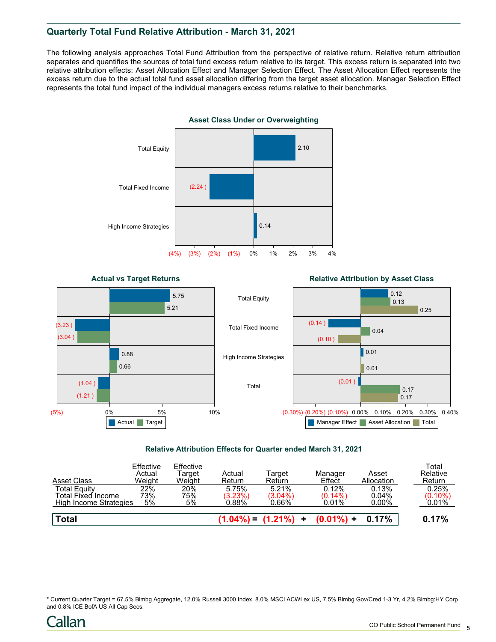## **Quarterly Total Fund Relative Attribution - March 31, 2021**

The following analysis approaches Total Fund Attribution from the perspective of relative return. Relative return attribution separates and quantifies the sources of total fund excess return relative to its target. This excess return is separated into two relative attribution effects: Asset Allocation Effect and Manager Selection Effect. The Asset Allocation Effect represents the excess return due to the actual total fund asset allocation differing from the target asset allocation. Manager Selection Effect represents the total fund impact of the individual managers excess returns relative to their benchmarks.



**Asset Class Under or Overweighting**

#### **Actual vs Target Returns**



### **Relative Attribution Effects for Quarter ended March 31, 2021**

| <b>Asset Class</b>                                                         | Effective<br>Actual<br>Weight | Effective<br>Target<br>Weight | Actual<br>Return                | Target<br>Return                | Manager<br>Effect               | Asset<br>Allocation        | Total<br>Relative<br>Return     |
|----------------------------------------------------------------------------|-------------------------------|-------------------------------|---------------------------------|---------------------------------|---------------------------------|----------------------------|---------------------------------|
| <b>Total Equity</b><br><b>Total Fixed Income</b><br>High Income Strategies | 22%<br>73%<br>5%              | 20%<br>75%<br>5%              | 5.75%<br>$(3.23\%)$<br>$0.88\%$ | 5.21%<br>$(3.04\%)$<br>$0.66\%$ | 0.12%<br>$(0.14\%)$<br>$0.01\%$ | 0.13%<br>0.04%<br>$0.00\%$ | 0.25%<br>$(0.10\%)$<br>$0.01\%$ |
| <b>Total</b>                                                               |                               |                               | $(1.04\%) = (1.21\%)$           |                                 | $(0.01\%)$                      | 0.17%                      | 0.17%                           |

\* Current Quarter Target = 67.5% Blmbg Aggregate, 12.0% Russell 3000 Index, 8.0% MSCI ACWI ex US, 7.5% Blmbg Gov/Cred 1-3 Yr, 4.2% Blmbg:HY Corp and 0.8% ICE BofA US All Cap Secs.

**Relative Attribution by Asset Class**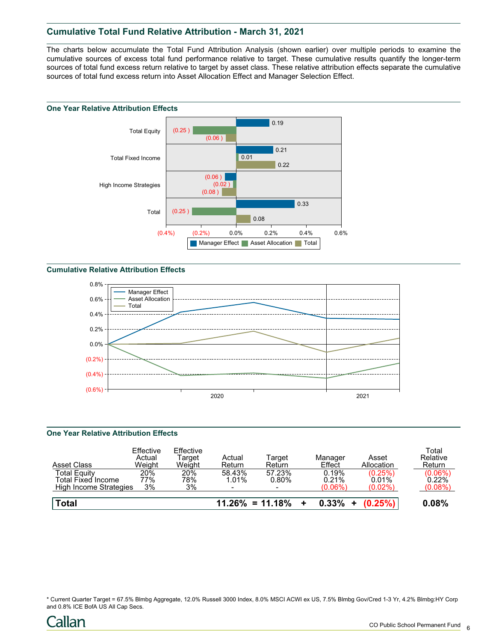## **Cumulative Total Fund Relative Attribution - March 31, 2021**

The charts below accumulate the Total Fund Attribution Analysis (shown earlier) over multiple periods to examine the cumulative sources of excess total fund performance relative to target. These cumulative results quantify the longer-term sources of total fund excess return relative to target by asset class. These relative attribution effects separate the cumulative sources of total fund excess return into Asset Allocation Effect and Manager Selection Effect.

#### **One Year Relative Attribution Effects**



#### **Cumulative Relative Attribution Effects**



## **One Year Relative Attribution Effects**

| <b>Asset Class</b><br><b>Total Equity</b>    | <b>Effective</b><br>Actual<br>Weight<br>20% | Effective<br>Target<br>Weight<br>20% | Actual<br>Return<br>58.43%        | Target<br>Return<br>57.23% | Manager<br>Effect<br>0.19% | Asset<br>Allocation<br>(0.25%) | Total<br>Relative<br>Return<br>$(0.06\%)$ |
|----------------------------------------------|---------------------------------------------|--------------------------------------|-----------------------------------|----------------------------|----------------------------|--------------------------------|-------------------------------------------|
| Total Fixed Income<br>High Income Strategies | 77%<br>3%                                   | 78%<br>3%                            | 1.01%<br>$\overline{\phantom{0}}$ | $0.80\%$                   | 0.21%<br>$(0.06\%)$        | $0.01\%$<br>$(0.02\%)$         | 0.22%<br>$(0.08\%)$                       |
| <b>Total</b>                                 |                                             |                                      | $11.26\% = 11.18\%$               |                            | $0.33\%$<br>٠              | (0.25%)                        | 0.08%                                     |

\* Current Quarter Target = 67.5% Blmbg Aggregate, 12.0% Russell 3000 Index, 8.0% MSCI ACWI ex US, 7.5% Blmbg Gov/Cred 1-3 Yr, 4.2% Blmbg:HY Corp and 0.8% ICE BofA US All Cap Secs.

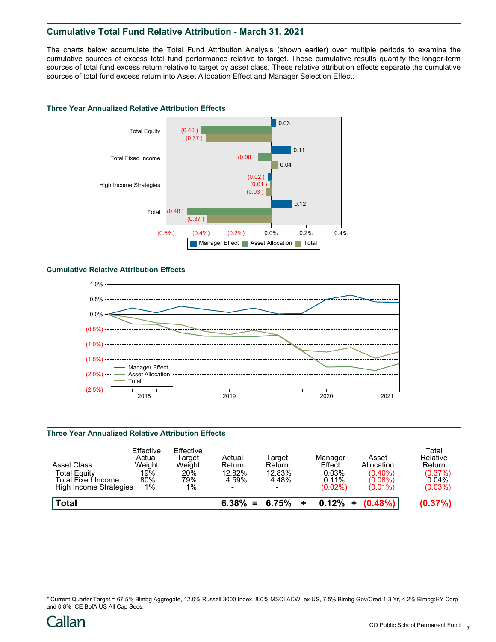## **Cumulative Total Fund Relative Attribution - March 31, 2021**

The charts below accumulate the Total Fund Attribution Analysis (shown earlier) over multiple periods to examine the cumulative sources of excess total fund performance relative to target. These cumulative results quantify the longer-term sources of total fund excess return relative to target by asset class. These relative attribution effects separate the cumulative sources of total fund excess return into Asset Allocation Effect and Manager Selection Effect.

## **Three Year Annualized Relative Attribution Effects**



### **Cumulative Relative Attribution Effects**



## **Three Year Annualized Relative Attribution Effects**

| <b>Asset Class</b><br>Total Equity<br>Total Fixed Income<br>High Income Strategies | Effective<br>Actual<br>Weight<br>19%<br>80%<br>1% | Effective<br>Target<br>Weight<br>20%<br>79%<br>$1\%$ | Actual<br>Return<br>12.82%<br>4.59%<br>$\overline{\phantom{0}}$ | Target<br>Return<br>12.83%<br>4.48% | Manager<br>Effect<br>0.03%<br>$0.11\%$<br>$(0.02\%)$ | Asset<br>Allocation<br>$(0.40\%)$<br>(0.08%)<br>$(0.01\%)$ | Total<br>Relative<br>Return<br>(0.37%)<br>0.04%<br>(0.03%) |
|------------------------------------------------------------------------------------|---------------------------------------------------|------------------------------------------------------|-----------------------------------------------------------------|-------------------------------------|------------------------------------------------------|------------------------------------------------------------|------------------------------------------------------------|
| <b>Total</b>                                                                       |                                                   |                                                      | $6.38\% =$                                                      | 6.75%                               | $0.12\%$ +                                           | $(0.48\%)$                                                 | (0.37%)                                                    |

\* Current Quarter Target = 67.5% Blmbg Aggregate, 12.0% Russell 3000 Index, 8.0% MSCI ACWI ex US, 7.5% Blmbg Gov/Cred 1-3 Yr, 4.2% Blmbg:HY Corp and 0.8% ICE BofA US All Cap Secs.

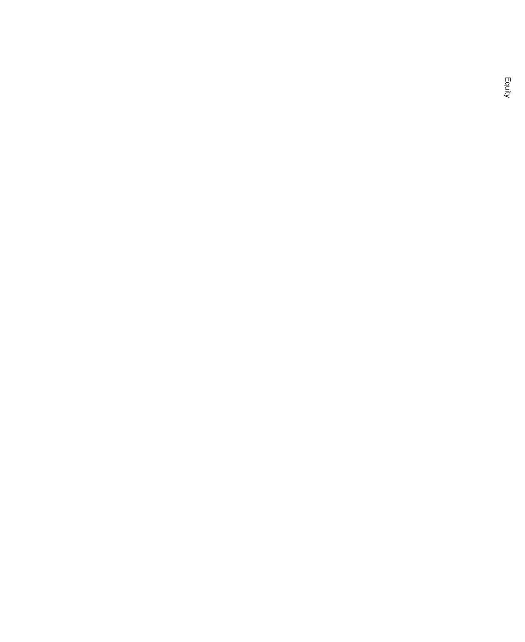[Equity](#page-1-0)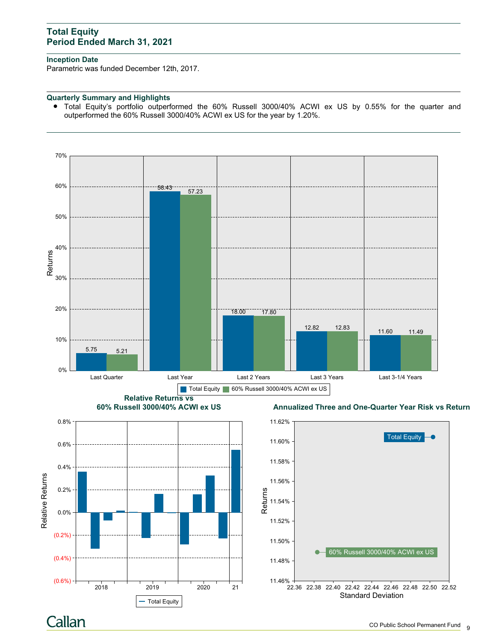## **Total Equity Period Ended March 31, 2021**

### **Inception Date**

Parametric was funded December 12th, 2017.

## **Quarterly Summary and Highlights**

Total Equity's portfolio outperformed the 60% Russell 3000/40% ACWI ex US by 0.55% for the quarter and outperformed the 60% Russell 3000/40% ACWI ex US for the year by 1.20%.



### **60% Russell 3000/40% ACWI ex US**



### **Annualized Three and One-Quarter Year Risk vs Return**

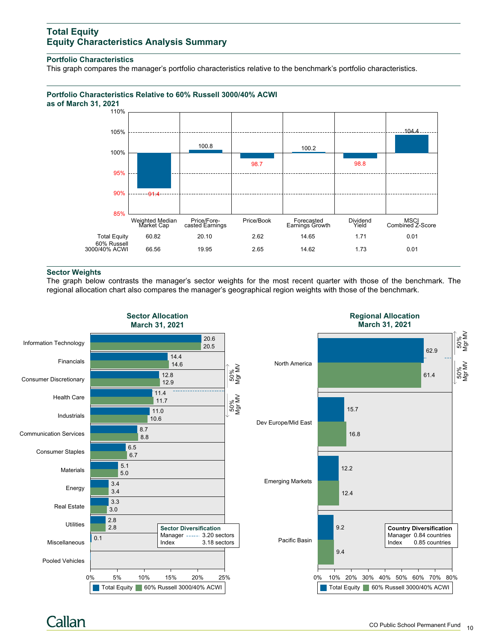## **Total Equity Equity Characteristics Analysis Summary**

### **Portfolio Characteristics**

This graph compares the manager's portfolio characteristics relative to the benchmark's portfolio characteristics.



#### **Sector Weights**

The graph below contrasts the manager's sector weights for the most recent quarter with those of the benchmark. The regional allocation chart also compares the manager's geographical region weights with those of the benchmark.

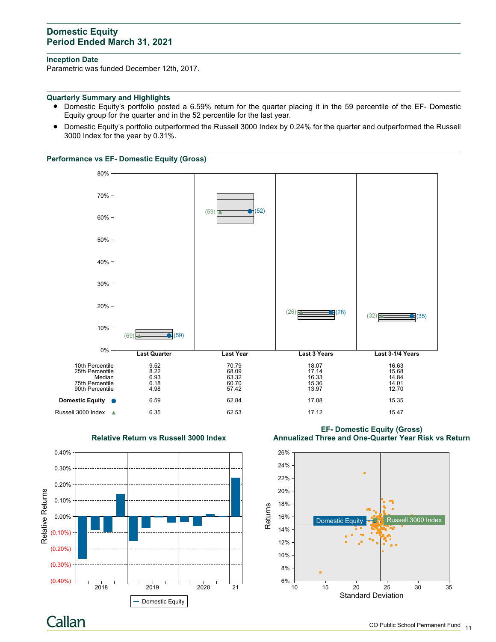## **Domestic Equity Period Ended March 31, 2021**

#### **Inception Date**

Parametric was funded December 12th, 2017.

## **Quarterly Summary and Highlights**

- Domestic Equity's portfolio posted a 6.59% return for the quarter placing it in the 59 percentile of the EF- Domestic Equity group for the quarter and in the 52 percentile for the last year.
- Domestic Equity's portfolio outperformed the Russell 3000 Index by 0.24% for the quarter and outperformed the Russell  $\bullet$ 3000 Index for the year by 0.31%.

#### **Performance vs EF- Domestic Equity (Gross)**





**Relative Return vs Russell 3000 Index**

**EF- Domestic Equity (Gross) Annualized Three and One-Quarter Year Risk vs Return**

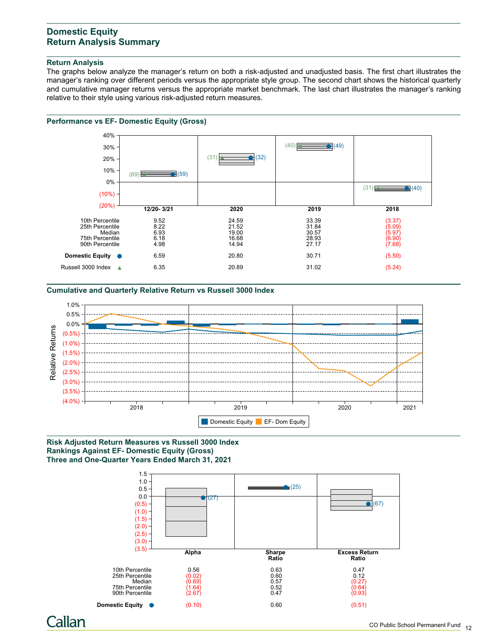## **Domestic Equity Return Analysis Summary**

#### **Return Analysis**

The graphs below analyze the manager's return on both a risk-adjusted and unadjusted basis. The first chart illustrates the manager's ranking over different periods versus the appropriate style group. The second chart shows the historical quarterly and cumulative manager returns versus the appropriate market benchmark. The last chart illustrates the manager's ranking relative to their style using various risk-adjusted return measures.

#### **Performance vs EF- Domestic Equity (Gross)**



### **Cumulative and Quarterly Relative Return vs Russell 3000 Index**



#### **Risk Adjusted Return Measures vs Russell 3000 Index Rankings Against EF- Domestic Equity (Gross) Three and One-Quarter Years Ended March 31, 2021**



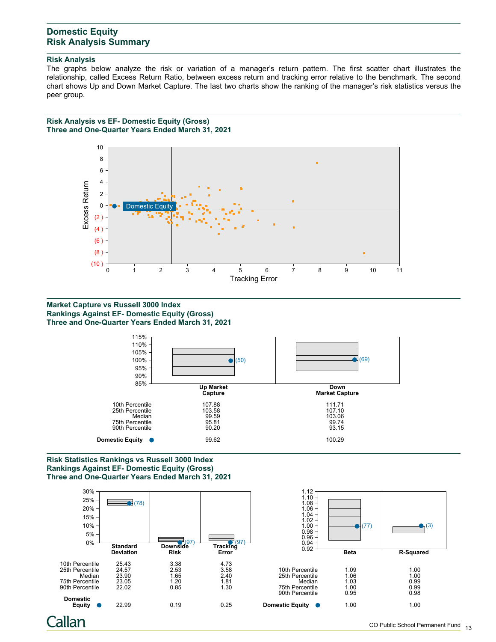## **Domestic Equity Risk Analysis Summary**

### **Risk Analysis**

The graphs below analyze the risk or variation of a manager's return pattern. The first scatter chart illustrates the relationship, called Excess Return Ratio, between excess return and tracking error relative to the benchmark. The second chart shows Up and Down Market Capture. The last two charts show the ranking of the manager's risk statistics versus the peer group.

**Risk Analysis vs EF- Domestic Equity (Gross) Three and One-Quarter Years Ended March 31, 2021**



#### **Market Capture vs Russell 3000 Index Rankings Against EF- Domestic Equity (Gross) Three and One-Quarter Years Ended March 31, 2021**



### **Risk Statistics Rankings vs Russell 3000 Index Rankings Against EF- Domestic Equity (Gross) Three and One-Quarter Years Ended March 31, 2021**



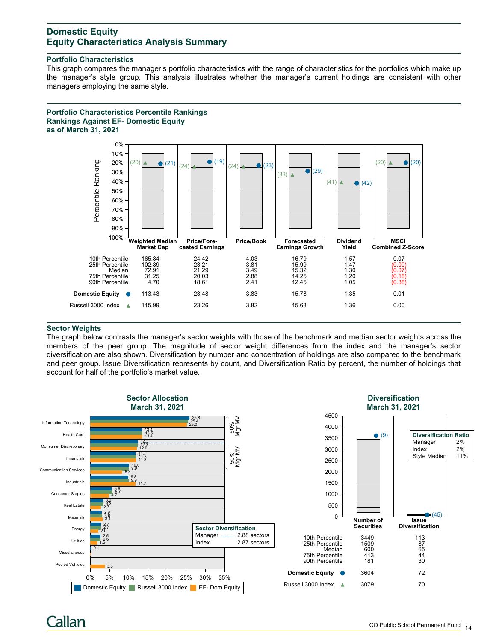## **Domestic Equity Equity Characteristics Analysis Summary**

### **Portfolio Characteristics**

This graph compares the manager's portfolio characteristics with the range of characteristics for the portfolios which make up the manager's style group. This analysis illustrates whether the manager's current holdings are consistent with other managers employing the same style.





## **Sector Weights**

The graph below contrasts the manager's sector weights with those of the benchmark and median sector weights across the members of the peer group. The magnitude of sector weight differences from the index and the manager's sector diversification are also shown. Diversification by number and concentration of holdings are also compared to the benchmark and peer group. Issue Diversification represents by count, and Diversification Ratio by percent, the number of holdings that account for half of the portfolio's market value.

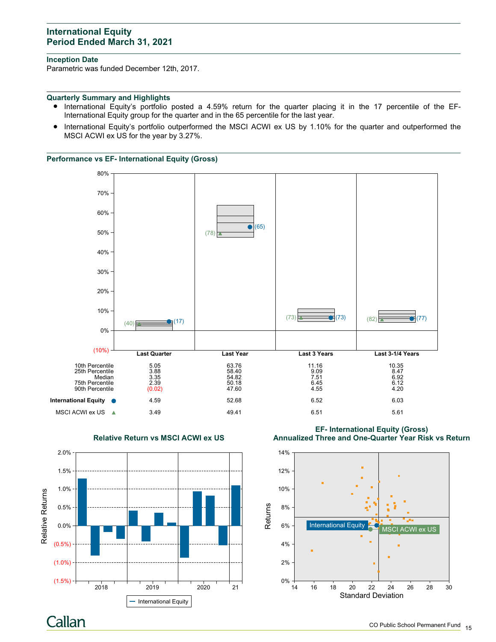## **International Equity Period Ended March 31, 2021**

#### **Inception Date**

Parametric was funded December 12th, 2017.

## **Quarterly Summary and Highlights**

- International Equity's portfolio posted a 4.59% return for the quarter placing it in the 17 percentile of the EF-International Equity group for the quarter and in the 65 percentile for the last year.
- International Equity's portfolio outperformed the MSCI ACWI ex US by 1.10% for the quarter and outperformed the  $\bullet$ MSCI ACWI ex US for the year by 3.27%.

#### **Performance vs EF- International Equity (Gross)**





**Relative Return vs MSCI ACWI ex US**

**EF- International Equity (Gross) Annualized Three and One-Quarter Year Risk vs Return**

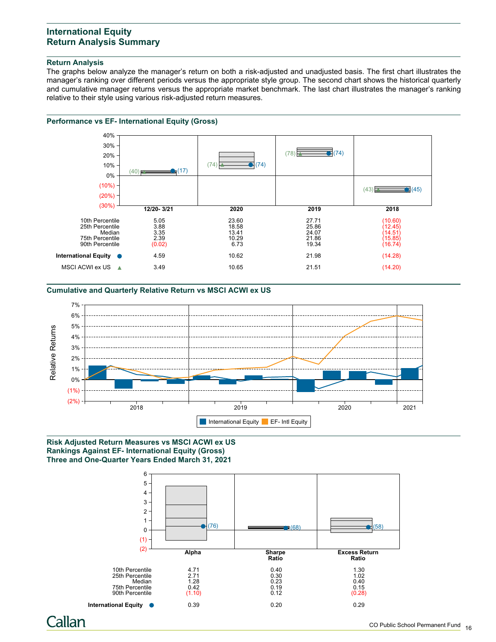## **International Equity Return Analysis Summary**

### **Return Analysis**

The graphs below analyze the manager's return on both a risk-adjusted and unadjusted basis. The first chart illustrates the manager's ranking over different periods versus the appropriate style group. The second chart shows the historical quarterly and cumulative manager returns versus the appropriate market benchmark. The last chart illustrates the manager's ranking relative to their style using various risk-adjusted return measures.

#### **Performance vs EF- International Equity (Gross)**



### **Cumulative and Quarterly Relative Return vs MSCI ACWI ex US**



#### **Risk Adjusted Return Measures vs MSCI ACWI ex US Rankings Against EF- International Equity (Gross) Three and One-Quarter Years Ended March 31, 2021**



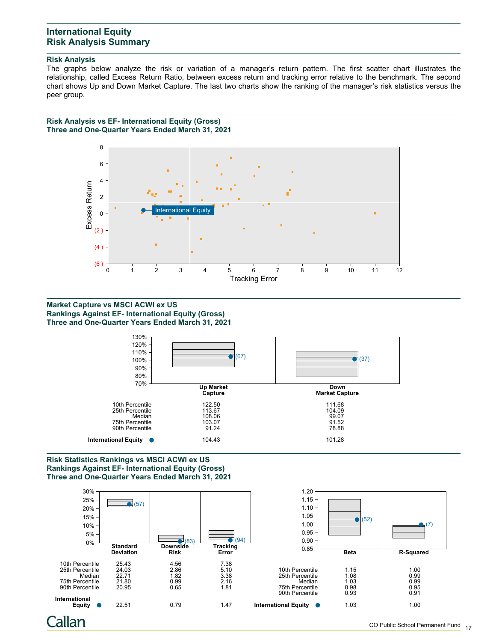## **International Equity Risk Analysis Summary**

#### **Risk Analysis**

The graphs below analyze the risk or variation of a manager's return pattern. The first scatter chart illustrates the relationship, called Excess Return Ratio, between excess return and tracking error relative to the benchmark. The second chart shows Up and Down Market Capture. The last two charts show the ranking of the manager's risk statistics versus the peer group.

**Risk Analysis vs EF- International Equity (Gross) Three and One-Quarter Years Ended March 31, 2021**



### **Market Capture vs MSCI ACWI ex US Rankings Against EF- International Equity (Gross) Three and One-Quarter Years Ended March 31, 2021**



#### **Risk Statistics Rankings vs MSCI ACWI ex US Rankings Against EF- International Equity (Gross) Three and One-Quarter Years Ended March 31, 2021**

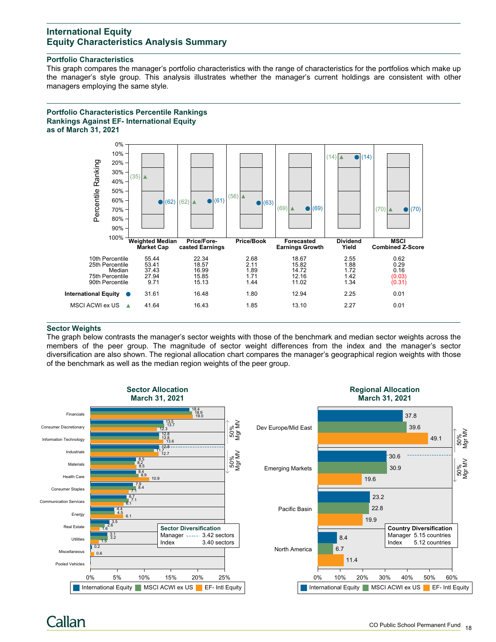## **International Equity Equity Characteristics Analysis Summary**

### **Portfolio Characteristics**

This graph compares the manager's portfolio characteristics with the range of characteristics for the portfolios which make up the manager's style group. This analysis illustrates whether the manager's current holdings are consistent with other managers employing the same style.

### **Portfolio Characteristics Percentile Rankings Rankings Against EF- International Equity as of March 31, 2021**



## **Sector Weights**

The graph below contrasts the manager's sector weights with those of the benchmark and median sector weights across the members of the peer group. The magnitude of sector weight differences from the index and the manager's sector diversification are also shown. The regional allocation chart compares the manager's geographical region weights with those of the benchmark as well as the median region weights of the peer group.

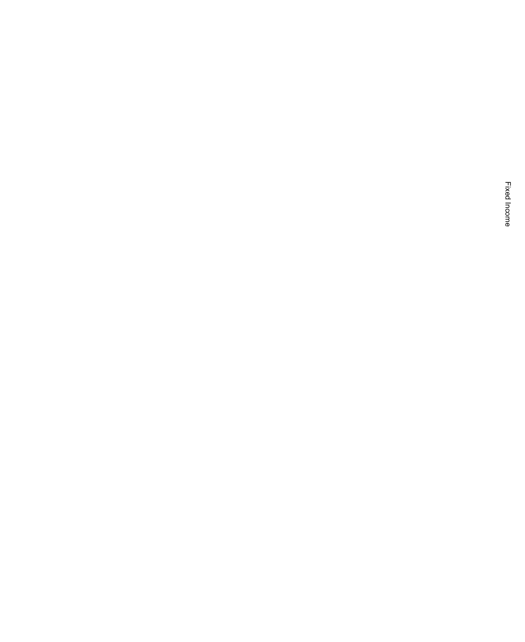Fixed Income [Fixed Income](#page-1-0)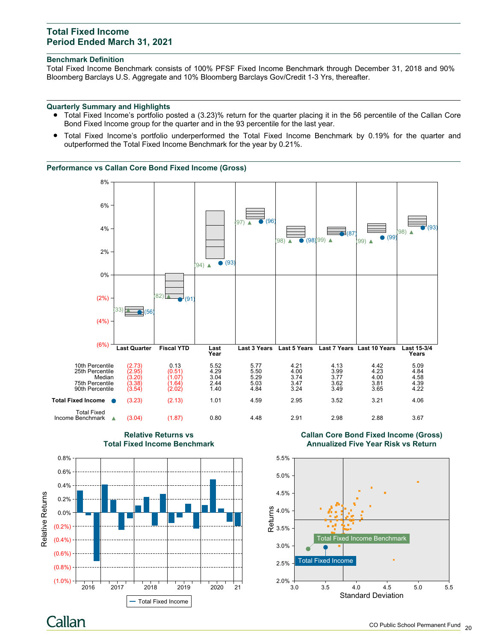## <span id="page-21-0"></span>**Total Fixed Income Period Ended March 31, 2021**

#### **Benchmark Definition**

Total Fixed Income Benchmark consists of 100% PFSF Fixed Income Benchmark through December 31, 2018 and 90% Bloomberg Barclays U.S. Aggregate and 10% Bloomberg Barclays Gov/Credit 1-3 Yrs, thereafter.

#### **Quarterly Summary and Highlights**

- Total Fixed Income's portfolio posted a (3.23)% return for the quarter placing it in the 56 percentile of the Callan Core Bond Fixed Income group for the quarter and in the 93 percentile for the last year.
- Total Fixed Income's portfolio underperformed the Total Fixed Income Benchmark by 0.19% for the quarter and  $\bullet$ outperformed the Total Fixed Income Benchmark for the year by 0.21%.

#### **Performance vs Callan Core Bond Fixed Income (Gross)**





#### **Relative Returns vs Total Fixed Income Benchmark**

#### **Callan Core Bond Fixed Income (Gross) Annualized Five Year Risk vs Return**

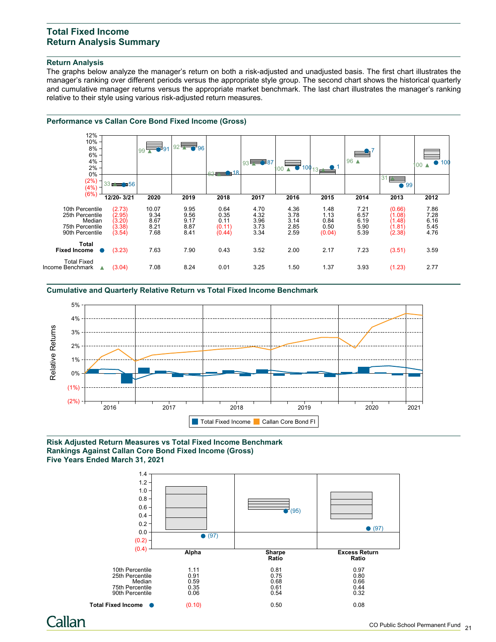## **Total Fixed Income Return Analysis Summary**

#### **Return Analysis**

The graphs below analyze the manager's return on both a risk-adjusted and unadjusted basis. The first chart illustrates the manager's ranking over different periods versus the appropriate style group. The second chart shows the historical quarterly and cumulative manager returns versus the appropriate market benchmark. The last chart illustrates the manager's ranking relative to their style using various risk-adjusted return measures.



#### **Performance vs Callan Core Bond Fixed Income (Gross)**

**Cumulative and Quarterly Relative Return vs Total Fixed Income Benchmark**







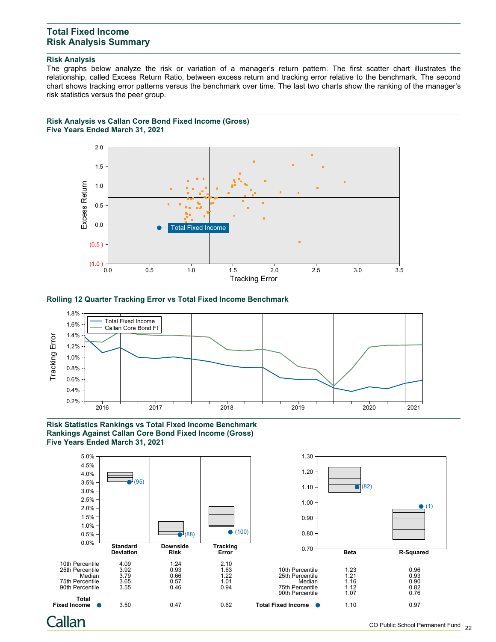## **Total Fixed Income Risk Analysis Summary**

#### **Risk Analysis**

The graphs below analyze the risk or variation of a manager's return pattern. The first scatter chart illustrates the relationship, called Excess Return Ratio, between excess return and tracking error relative to the benchmark. The second chart shows tracking error patterns versus the benchmark over time. The last two charts show the ranking of the manager's risk statistics versus the peer group.

**Risk Analysis vs Callan Core Bond Fixed Income (Gross) Five Years Ended March 31, 2021**









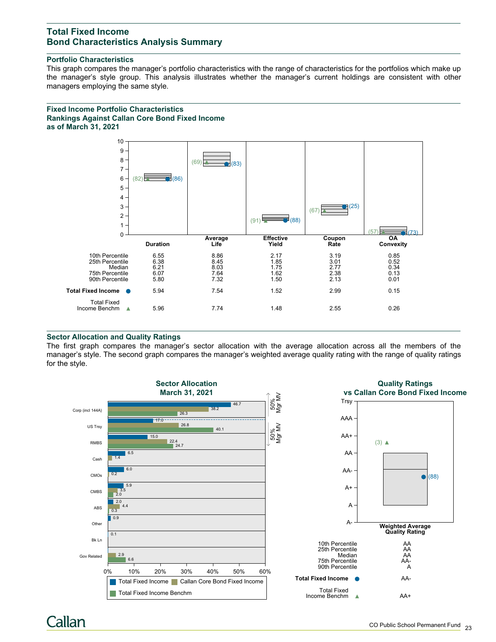## **Total Fixed Income Bond Characteristics Analysis Summary**

### **Portfolio Characteristics**

This graph compares the manager's portfolio characteristics with the range of characteristics for the portfolios which make up the manager's style group. This analysis illustrates whether the manager's current holdings are consistent with other managers employing the same style.

## **Fixed Income Portfolio Characteristics Rankings Against Callan Core Bond Fixed Income as of March 31, 2021**



## **Sector Allocation and Quality Ratings**

The first graph compares the manager's sector allocation with the average allocation across all the members of the manager's style. The second graph compares the manager's weighted average quality rating with the range of quality ratings for the style.



## **Quality Ratings vs Callan Core Bond Fixed Income**

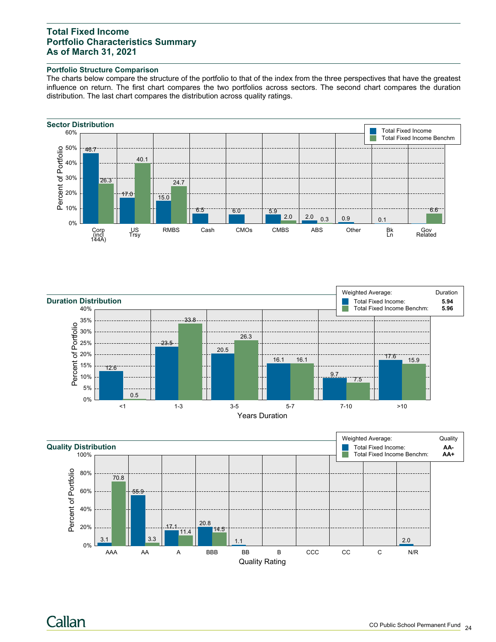## **Total Fixed Income Portfolio Characteristics Summary As of March 31, 2021**

## **Portfolio Structure Comparison**

The charts below compare the structure of the portfolio to that of the index from the three perspectives that have the greatest influence on return. The first chart compares the two portfolios across sectors. The second chart compares the duration distribution. The last chart compares the distribution across quality ratings.



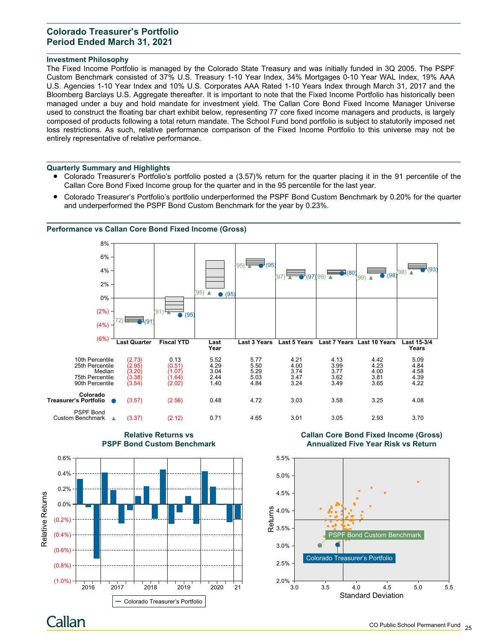## **Colorado Treasurer's Portfolio Period Ended March 31, 2021**

### **Investment Philosophy**

The Fixed Income Portfolio is managed by the Colorado State Treasury and was initially funded in 3Q 2005. The PSPF Custom Benchmark consisted of 37% U.S. Treasury 1-10 Year Index, 34% Mortgages 0-10 Year WAL Index, 19% AAA U.S. Agencies 1-10 Year Index and 10% U.S. Corporates AAA Rated 1-10 Years Index through March 31, 2017 and the Bloomberg Barclays U.S. Aggregate thereafter. It is important to note that the Fixed Income Portfolio has historically been managed under a buy and hold mandate for investment yield. The Callan Core Bond Fixed Income Manager Universe used to construct the floating bar chart exhibit below, representing 77 core fixed income managers and products, is largely composed of products following a total return mandate. The School Fund bond portfolio is subject to statutorily imposed net loss restrictions. As such, relative performance comparison of the Fixed Income Portfolio to this universe may not be entirely representative of relative performance.

#### **Quarterly Summary and Highlights**

- Colorado Treasurer's Portfolio's portfolio posted a (3.57)% return for the quarter placing it in the 91 percentile of the Callan Core Bond Fixed Income group for the quarter and in the 95 percentile for the last year.
- Colorado Treasurer's Portfolio's portfolio underperformed the PSPF Bond Custom Benchmark by 0.20% for the quarter and underperformed the PSPF Bond Custom Benchmark for the year by 0.23%.







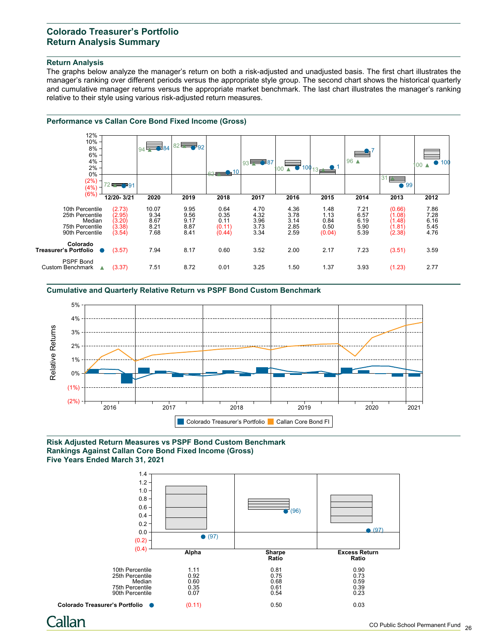## <span id="page-27-0"></span>**Colorado Treasurer's Portfolio Return Analysis Summary**

## **Return Analysis**

The graphs below analyze the manager's return on both a risk-adjusted and unadjusted basis. The first chart illustrates the manager's ranking over different periods versus the appropriate style group. The second chart shows the historical quarterly and cumulative manager returns versus the appropriate market benchmark. The last chart illustrates the manager's ranking relative to their style using various risk-adjusted return measures.

#### **Performance vs Callan Core Bond Fixed Income (Gross)**



**Cumulative and Quarterly Relative Return vs PSPF Bond Custom Benchmark**



**Risk Adjusted Return Measures vs PSPF Bond Custom Benchmark Rankings Against Callan Core Bond Fixed Income (Gross) Five Years Ended March 31, 2021**



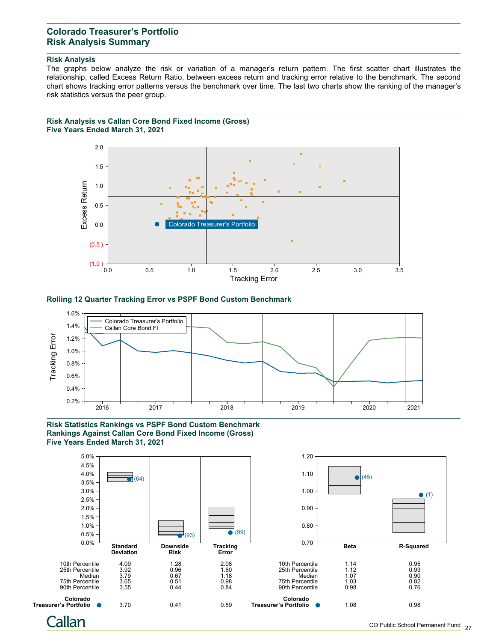## <span id="page-28-0"></span>**Colorado Treasurer's Portfolio Risk Analysis Summary**

#### **Risk Analysis**

The graphs below analyze the risk or variation of a manager's return pattern. The first scatter chart illustrates the relationship, called Excess Return Ratio, between excess return and tracking error relative to the benchmark. The second chart shows tracking error patterns versus the benchmark over time. The last two charts show the ranking of the manager's risk statistics versus the peer group.

**Risk Analysis vs Callan Core Bond Fixed Income (Gross) Five Years Ended March 31, 2021**











27 CO Public School Permanent Fund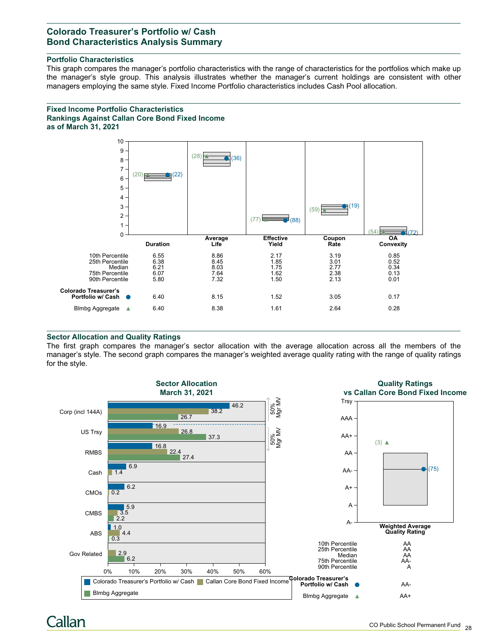## **Colorado Treasurer's Portfolio w/ Cash Bond Characteristics Analysis Summary**

### **Portfolio Characteristics**

This graph compares the manager's portfolio characteristics with the range of characteristics for the portfolios which make up the manager's style group. This analysis illustrates whether the manager's current holdings are consistent with other managers employing the same style. Fixed Income Portfolio characteristics includes Cash Pool allocation.

#### **Fixed Income Portfolio Characteristics Rankings Against Callan Core Bond Fixed Income as of March 31, 2021**



## **Sector Allocation and Quality Ratings**

The first graph compares the manager's sector allocation with the average allocation across all the members of the manager's style. The second graph compares the manager's weighted average quality rating with the range of quality ratings for the style.

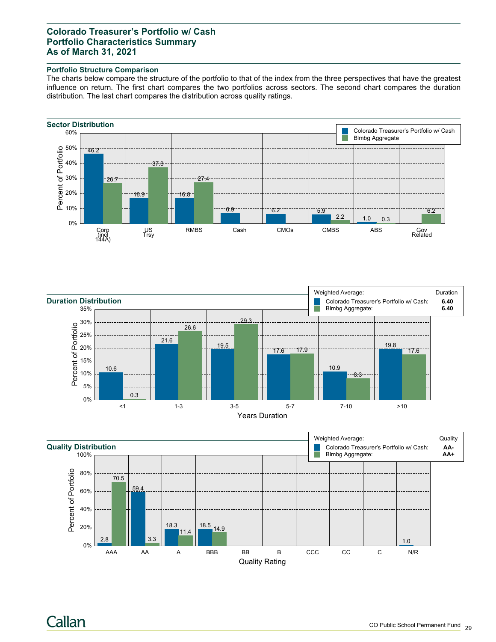## <span id="page-30-0"></span>**Colorado Treasurer's Portfolio w/ Cash Portfolio Characteristics Summary As of March 31, 2021**

## **Portfolio Structure Comparison**

The charts below compare the structure of the portfolio to that of the index from the three perspectives that have the greatest influence on return. The first chart compares the two portfolios across sectors. The second chart compares the duration distribution. The last chart compares the distribution across quality ratings.







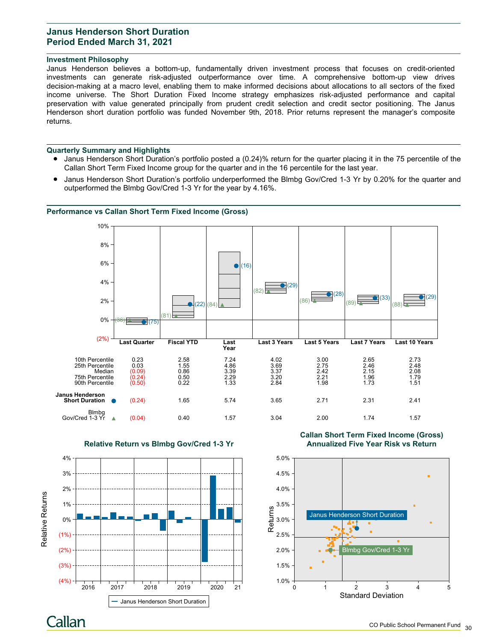## **Janus Henderson Short Duration Period Ended March 31, 2021**

#### **Investment Philosophy**

Janus Henderson believes a bottom-up, fundamentally driven investment process that focuses on credit-oriented investments can generate risk-adjusted outperformance over time. A comprehensive bottom-up view drives decision-making at a macro level, enabling them to make informed decisions about allocations to all sectors of the fixed income universe. The Short Duration Fixed Income strategy emphasizes risk-adjusted performance and capital preservation with value generated principally from prudent credit selection and credit sector positioning. The Janus Henderson short duration portfolio was funded November 9th, 2018. Prior returns represent the manager's composite returns.

## **Quarterly Summary and Highlights**

- Janus Henderson Short Duration's portfolio posted a (0.24)% return for the quarter placing it in the 75 percentile of the Callan Short Term Fixed Income group for the quarter and in the 16 percentile for the last year.
- Janus Henderson Short Duration's portfolio underperformed the Blmbg Gov/Cred 1-3 Yr by 0.20% for the quarter and outperformed the Blmbg Gov/Cred 1-3 Yr for the year by 4.16%.



#### **Performance vs Callan Short Term Fixed Income (Gross)**







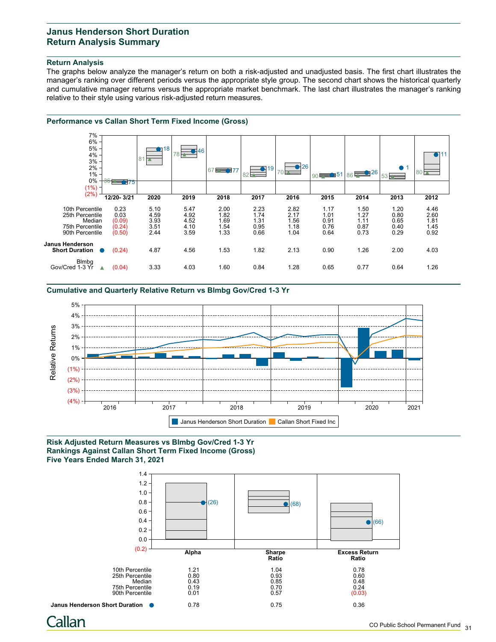## **Janus Henderson Short Duration Return Analysis Summary**

## **Return Analysis**

The graphs below analyze the manager's return on both a risk-adjusted and unadjusted basis. The first chart illustrates the manager's ranking over different periods versus the appropriate style group. The second chart shows the historical quarterly and cumulative manager returns versus the appropriate market benchmark. The last chart illustrates the manager's ranking relative to their style using various risk-adjusted return measures.



#### **Performance vs Callan Short Term Fixed Income (Gross)**

**Cumulative and Quarterly Relative Return vs Blmbg Gov/Cred 1-3 Yr**



**Risk Adjusted Return Measures vs Blmbg Gov/Cred 1-3 Yr Rankings Against Callan Short Term Fixed Income (Gross) Five Years Ended March 31, 2021**



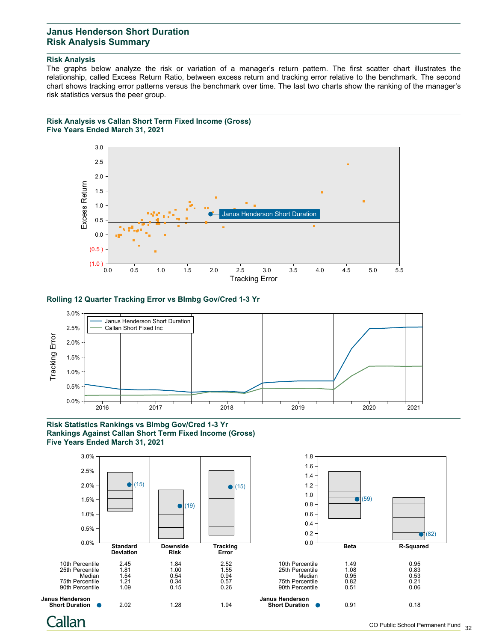## **Janus Henderson Short Duration Risk Analysis Summary**

#### **Risk Analysis**

The graphs below analyze the risk or variation of a manager's return pattern. The first scatter chart illustrates the relationship, called Excess Return Ratio, between excess return and tracking error relative to the benchmark. The second chart shows tracking error patterns versus the benchmark over time. The last two charts show the ranking of the manager's risk statistics versus the peer group.

**Risk Analysis vs Callan Short Term Fixed Income (Gross) Five Years Ended March 31, 2021**









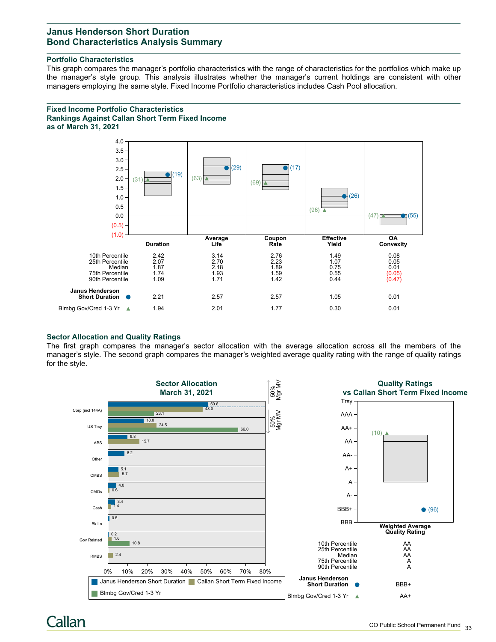## <span id="page-34-0"></span>**Janus Henderson Short Duration Bond Characteristics Analysis Summary**

### **Portfolio Characteristics**

This graph compares the manager's portfolio characteristics with the range of characteristics for the portfolios which make up the manager's style group. This analysis illustrates whether the manager's current holdings are consistent with other managers employing the same style. Fixed Income Portfolio characteristics includes Cash Pool allocation.

### **Fixed Income Portfolio Characteristics Rankings Against Callan Short Term Fixed Income as of March 31, 2021**



## **Sector Allocation and Quality Ratings**

The first graph compares the manager's sector allocation with the average allocation across all the members of the manager's style. The second graph compares the manager's weighted average quality rating with the range of quality ratings for the style.

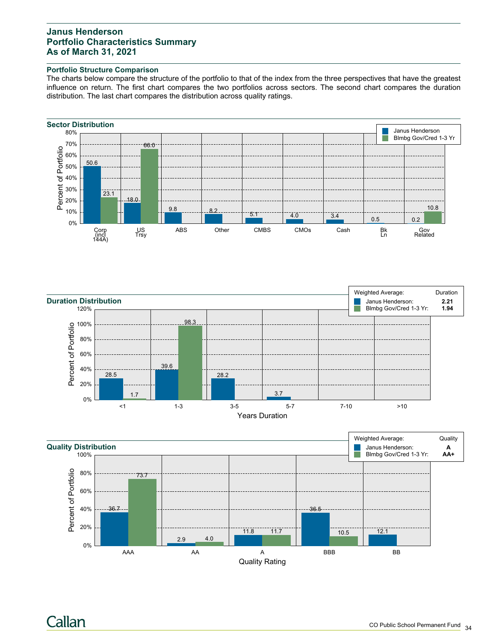## **Janus Henderson Portfolio Characteristics Summary As of March 31, 2021**

## **Portfolio Structure Comparison**

The charts below compare the structure of the portfolio to that of the index from the three perspectives that have the greatest influence on return. The first chart compares the two portfolios across sectors. The second chart compares the duration distribution. The last chart compares the distribution across quality ratings.

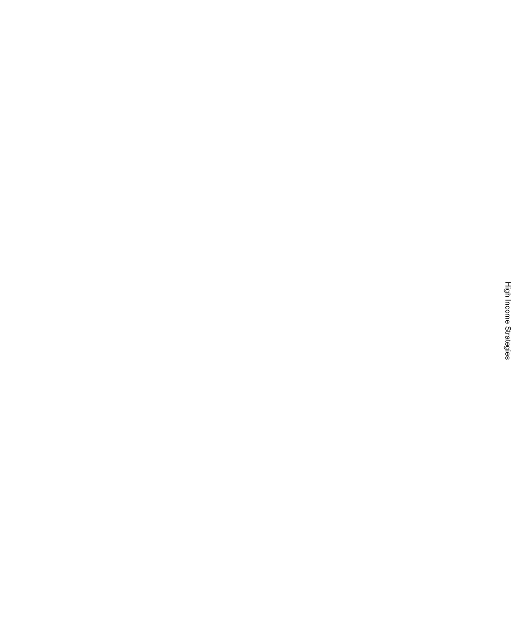High Income Strategies [High Income Strategies](#page-1-0)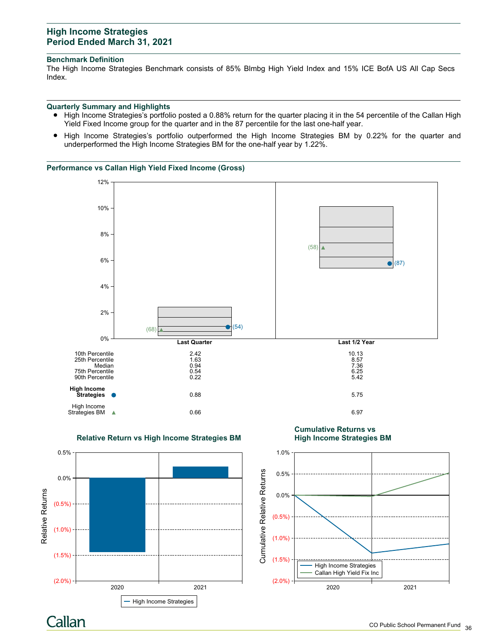## **High Income Strategies Period Ended March 31, 2021**

#### **Benchmark Definition**

The High Income Strategies Benchmark consists of 85% Blmbg High Yield Index and 15% ICE BofA US All Cap Secs Index.

#### **Quarterly Summary and Highlights**

- High Income Strategies's portfolio posted a 0.88% return for the quarter placing it in the 54 percentile of the Callan High Yield Fixed Income group for the quarter and in the 87 percentile for the last one-half year.
- High Income Strategies's portfolio outperformed the High Income Strategies BM by 0.22% for the quarter and  $\bullet$ underperformed the High Income Strategies BM for the one-half year by 1.22%.

#### **Performance vs Callan High Yield Fixed Income (Gross)**





## **High Income Strategies BM**

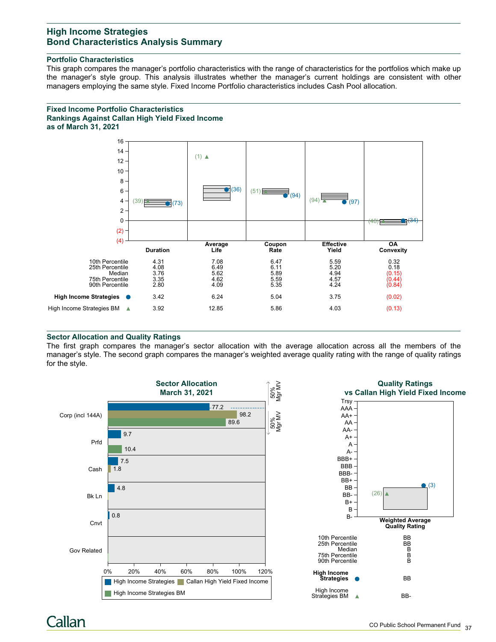## <span id="page-38-0"></span>**High Income Strategies Bond Characteristics Analysis Summary**

### **Portfolio Characteristics**

This graph compares the manager's portfolio characteristics with the range of characteristics for the portfolios which make up the manager's style group. This analysis illustrates whether the manager's current holdings are consistent with other managers employing the same style. Fixed Income Portfolio characteristics includes Cash Pool allocation.

#### **Fixed Income Portfolio Characteristics Rankings Against Callan High Yield Fixed Income as of March 31, 2021**



## **Sector Allocation and Quality Ratings**

The first graph compares the manager's sector allocation with the average allocation across all the members of the manager's style. The second graph compares the manager's weighted average quality rating with the range of quality ratings for the style.

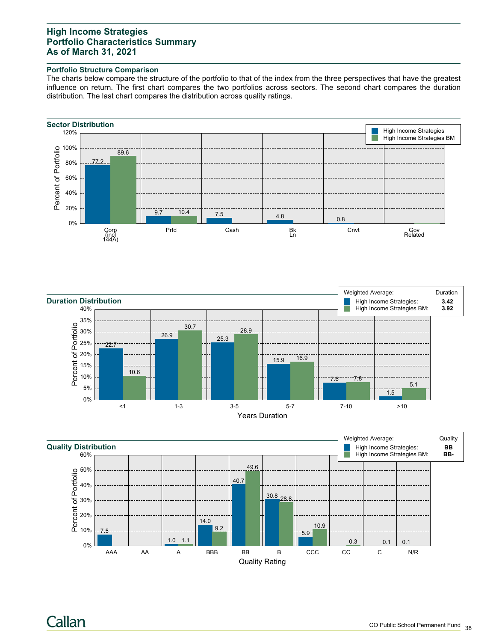## <span id="page-39-0"></span>**High Income Strategies Portfolio Characteristics Summary As of March 31, 2021**

## **Portfolio Structure Comparison**

The charts below compare the structure of the portfolio to that of the index from the three perspectives that have the greatest influence on return. The first chart compares the two portfolios across sectors. The second chart compares the duration distribution. The last chart compares the distribution across quality ratings.

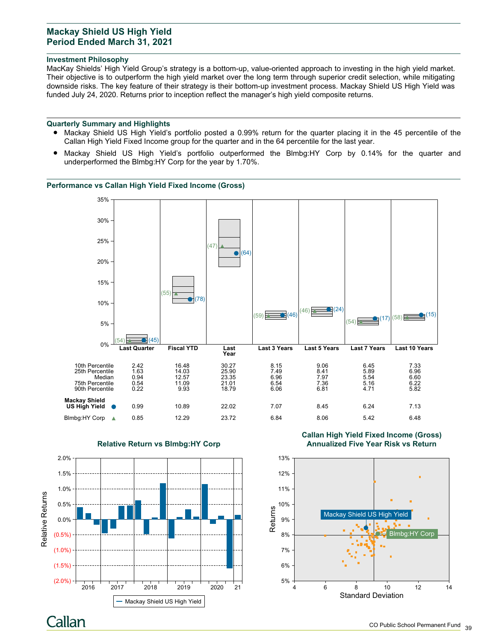## **Mackay Shield US High Yield Period Ended March 31, 2021**

#### **Investment Philosophy**

MacKay Shields' High Yield Group's strategy is a bottom-up, value-oriented approach to investing in the high yield market. Their objective is to outperform the high yield market over the long term through superior credit selection, while mitigating downside risks. The key feature of their strategy is their bottom-up investment process. Mackay Shield US High Yield was funded July 24, 2020. Returns prior to inception reflect the manager's high yield composite returns.

#### **Quarterly Summary and Highlights**

- Mackay Shield US High Yield's portfolio posted a 0.99% return for the quarter placing it in the 45 percentile of the Callan High Yield Fixed Income group for the quarter and in the 64 percentile for the last year.
- Mackay Shield US High Yield's portfolio outperformed the Blmbg:HY Corp by 0.14% for the quarter and  $\bullet$ underperformed the Blmbg:HY Corp for the year by 1.70%.

**Performance vs Callan High Yield Fixed Income (Gross)**





## **Relative Return vs Blmbg:HY Corp**

#### **Callan High Yield Fixed Income (Gross) Annualized Five Year Risk vs Return**

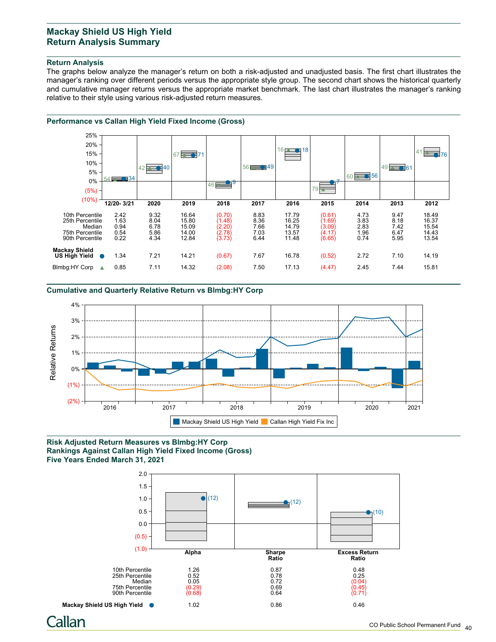## **Mackay Shield US High Yield Return Analysis Summary**

## **Return Analysis**

The graphs below analyze the manager's return on both a risk-adjusted and unadjusted basis. The first chart illustrates the manager's ranking over different periods versus the appropriate style group. The second chart shows the historical quarterly and cumulative manager returns versus the appropriate market benchmark. The last chart illustrates the manager's ranking relative to their style using various risk-adjusted return measures.

#### **Performance vs Callan High Yield Fixed Income (Gross)**



**Cumulative and Quarterly Relative Return vs Blmbg:HY Corp**



**Risk Adjusted Return Measures vs Blmbg:HY Corp Rankings Against Callan High Yield Fixed Income (Gross) Five Years Ended March 31, 2021**



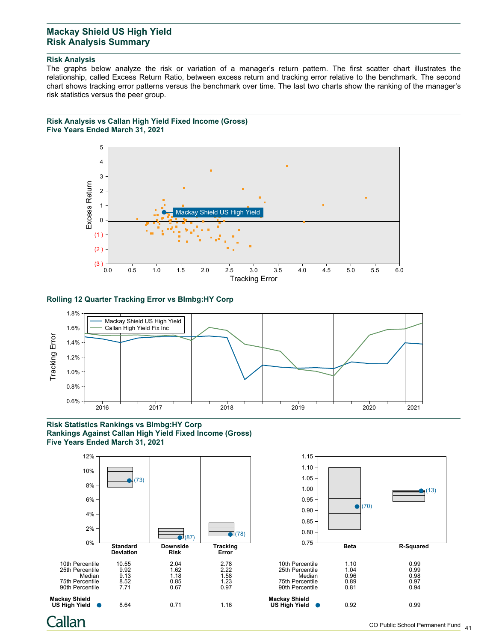## **Mackay Shield US High Yield Risk Analysis Summary**

#### **Risk Analysis**

The graphs below analyze the risk or variation of a manager's return pattern. The first scatter chart illustrates the relationship, called Excess Return Ratio, between excess return and tracking error relative to the benchmark. The second chart shows tracking error patterns versus the benchmark over time. The last two charts show the ranking of the manager's risk statistics versus the peer group.

**Risk Analysis vs Callan High Yield Fixed Income (Gross) Five Years Ended March 31, 2021**









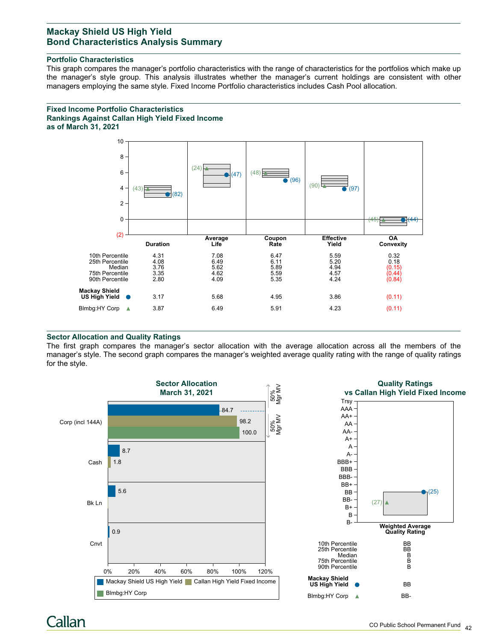## **Mackay Shield US High Yield Bond Characteristics Analysis Summary**

### **Portfolio Characteristics**

This graph compares the manager's portfolio characteristics with the range of characteristics for the portfolios which make up the manager's style group. This analysis illustrates whether the manager's current holdings are consistent with other managers employing the same style. Fixed Income Portfolio characteristics includes Cash Pool allocation.

### **Fixed Income Portfolio Characteristics Rankings Against Callan High Yield Fixed Income as of March 31, 2021**



#### **Sector Allocation and Quality Ratings**

The first graph compares the manager's sector allocation with the average allocation across all the members of the manager's style. The second graph compares the manager's weighted average quality rating with the range of quality ratings for the style.

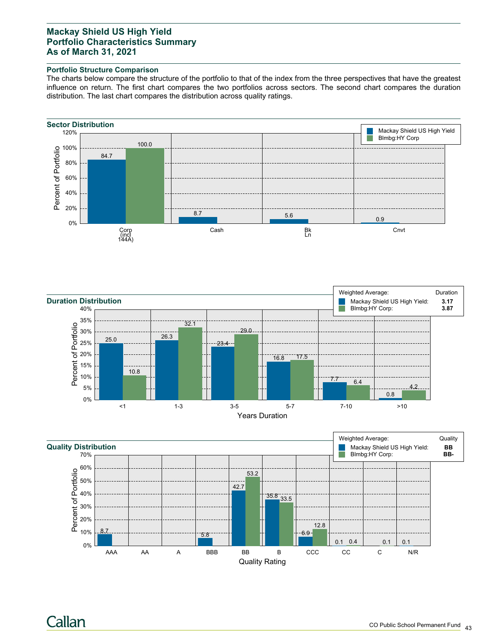## <span id="page-44-0"></span>**Mackay Shield US High Yield Portfolio Characteristics Summary As of March 31, 2021**

## **Portfolio Structure Comparison**

The charts below compare the structure of the portfolio to that of the index from the three perspectives that have the greatest influence on return. The first chart compares the two portfolios across sectors. The second chart compares the duration distribution. The last chart compares the distribution across quality ratings.

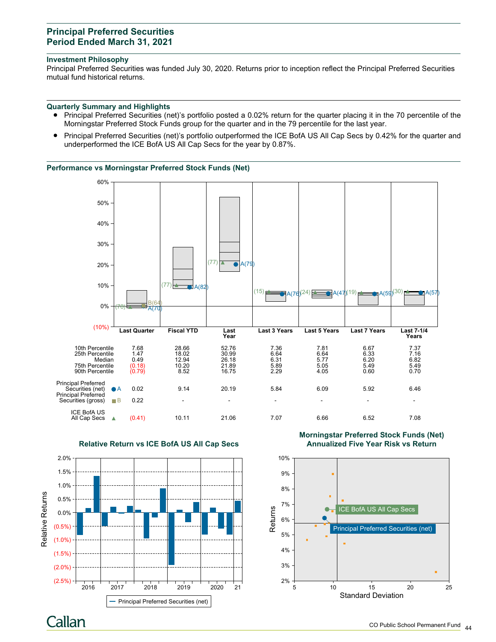## **Principal Preferred Securities Period Ended March 31, 2021**

#### **Investment Philosophy**

Principal Preferred Securities was funded July 30, 2020. Returns prior to inception reflect the Principal Preferred Securities mutual fund historical returns.

#### **Quarterly Summary and Highlights**

- Principal Preferred Securities (net)'s portfolio posted a 0.02% return for the quarter placing it in the 70 percentile of the Morningstar Preferred Stock Funds group for the quarter and in the 79 percentile for the last year.
- Principal Preferred Securities (net)'s portfolio outperformed the ICE BofA US All Cap Secs by 0.42% for the quarter and  $\bullet$ underperformed the ICE BofA US All Cap Secs for the year by 0.87%.

#### **Performance vs Morningstar Preferred Stock Funds (Net)**





#### **Relative Return vs ICE BofA US All Cap Secs**

## **Morningstar Preferred Stock Funds (Net) Annualized Five Year Risk vs Return**

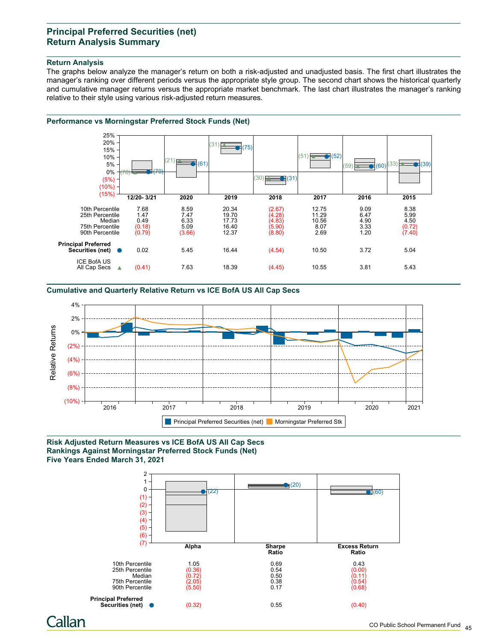## **Principal Preferred Securities (net) Return Analysis Summary**

## **Return Analysis**

The graphs below analyze the manager's return on both a risk-adjusted and unadjusted basis. The first chart illustrates the manager's ranking over different periods versus the appropriate style group. The second chart shows the historical quarterly and cumulative manager returns versus the appropriate market benchmark. The last chart illustrates the manager's ranking relative to their style using various risk-adjusted return measures.



## **Performance vs Morningstar Preferred Stock Funds (Net)**

**Cumulative and Quarterly Relative Return vs ICE BofA US All Cap Secs**



**Risk Adjusted Return Measures vs ICE BofA US All Cap Secs Rankings Against Morningstar Preferred Stock Funds (Net) Five Years Ended March 31, 2021**

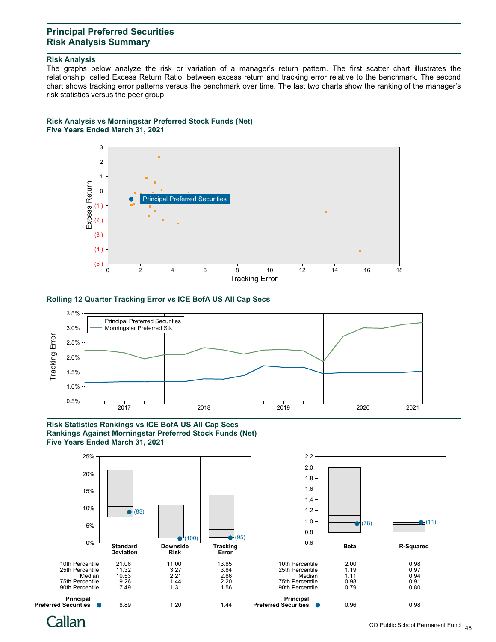## **Principal Preferred Securities Risk Analysis Summary**

#### **Risk Analysis**

The graphs below analyze the risk or variation of a manager's return pattern. The first scatter chart illustrates the relationship, called Excess Return Ratio, between excess return and tracking error relative to the benchmark. The second chart shows tracking error patterns versus the benchmark over time. The last two charts show the ranking of the manager's risk statistics versus the peer group.

**Risk Analysis vs Morningstar Preferred Stock Funds (Net) Five Years Ended March 31, 2021**









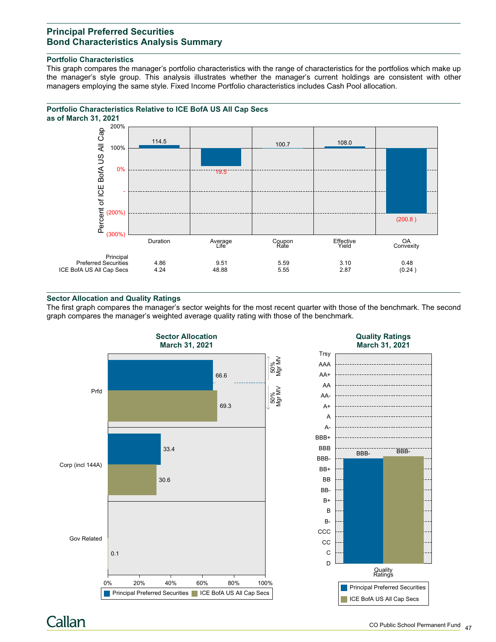## <span id="page-48-0"></span>**Principal Preferred Securities Bond Characteristics Analysis Summary**

## **Portfolio Characteristics**

This graph compares the manager's portfolio characteristics with the range of characteristics for the portfolios which make up the manager's style group. This analysis illustrates whether the manager's current holdings are consistent with other managers employing the same style. Fixed Income Portfolio characteristics includes Cash Pool allocation.



## **as of March 31, 2021**



## **Sector Allocation and Quality Ratings**

The first graph compares the manager's sector weights for the most recent quarter with those of the benchmark. The second graph compares the manager's weighted average quality rating with those of the benchmark.



## **Quality Ratings March 31, 2021**